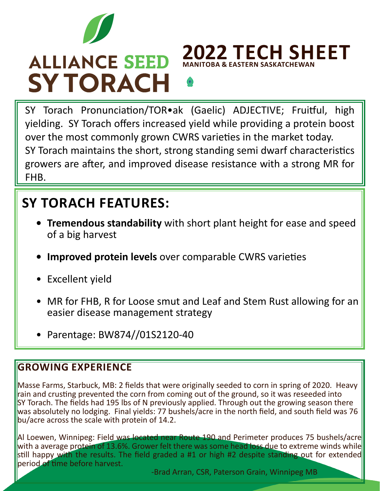

# **ALLIANCE SEED SYTORACH**

**2022 TECH SHEET MANITOBA & EASTERN SASKATCHEWA** 

SY Torach Pronunciation/TOR•ak (Gaelic) ADJECTIVE; Fruitful, high yielding. SY Torach offers increased yield while providing a protein boost over the most commonly grown CWRS varieties in the market today. SY Torach maintains the short, strong standing semi dwarf characteristics growers are after, and improved disease resistance with a strong MR for FHB.

## **SY TORACH FEATURES:**

- **• Tremendous standability** with short plant height for ease and speed of a big harvest
- **• Improved protein levels** over comparable CWRS varieties
- Excellent yield
- MR for FHB, R for Loose smut and Leaf and Stem Rust allowing for an easier disease management strategy
- Parentage: BW874//01S2120-40

## **GROWING EXPERIENCE**

Masse Farms, Starbuck, MB: 2 fields that were originally seeded to corn in spring of 2020. Heavy rain and crusting prevented the corn from coming out of the ground, so it was reseeded into SY Torach. The fields had 195 lbs of N previously applied. Through out the growing season there was absolutely no lodging. Final yields: 77 bushels/acre in the north field, and south field was 76 bu/acre across the scale with protein of 14.2.

Al Loewen, Winnipeg: Field was located near Route 190 and Perimeter produces 75 bushels/acre with a average protein of 13.6%. Grower felt there was some head loss due to extreme winds while still happy with the results. The field graded a #1 or high #2 despite standing out for extended period of time before harvest.

-Brad Arran, CSR, Paterson Grain, Winnipeg MB